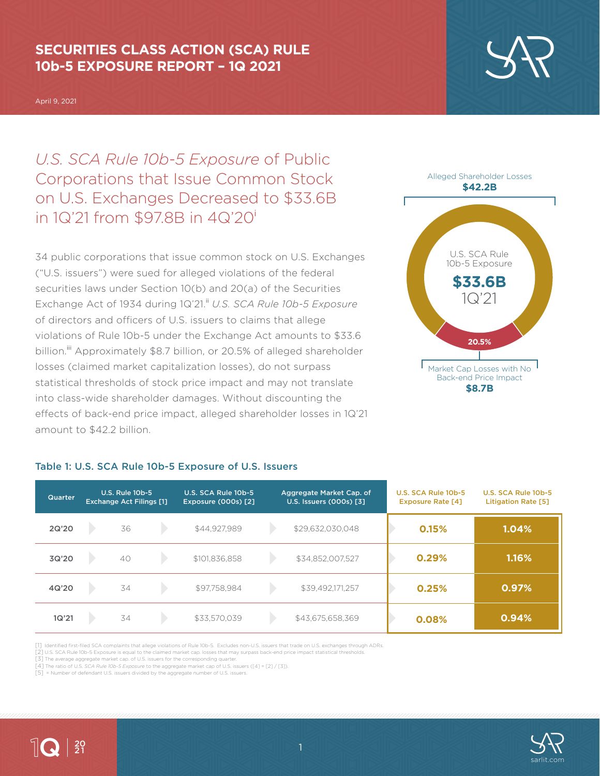### **SECURITIES CLASS ACTION (SCA) RULE 10b-5 EXPOSURE REPORT – 1Q 2021**

April 9, 2021

*U.S. SCA Rule 10b-5 Exposure* of Public Corporations that Issue Common Stock on U.S. Exchanges Decreased to \$33.6B in 1Q'21 from \$97.8B in 4Q'20<sup>i</sup>

34 public corporations that issue common stock on U.S. Exchanges ("U.S. issuers") were sued for alleged violations of the federal securities laws under Section 10(b) and 20(a) of the Securities Exchange Act of 1934 during 1Q'21.<sup>ii</sup> U.S. SCA Rule 10b-5 Exposure of directors and officers of U.S. issuers to claims that allege violations of Rule 10b-5 under the Exchange Act amounts to \$33.6 billion.<sup>iii</sup> Approximately \$8.7 billion, or 20.5% of alleged shareholder losses (claimed market capitalization losses), do not surpass statistical thresholds of stock price impact and may not translate into class-wide shareholder damages. Without discounting the effects of back-end price impact, alleged shareholder losses in 1Q'21 amount to \$42.2 billion.



**\$8.7B**

| <b>Quarter</b> | <b>U.S. Rule 10b-5</b><br><b>Exchange Act Filings [1]</b> |    | U.S. SCA Rule 10b-5<br><b>Exposure (000s) [2]</b> | Aggregate Market Cap. of<br>U.S. Issuers (000s) [3] |  | U.S. SCA Rule 10b-5<br><b>Exposure Rate [4]</b> |  | U.S. SCA Rule 10b-5<br><b>Litigation Rate [5]</b> |       |
|----------------|-----------------------------------------------------------|----|---------------------------------------------------|-----------------------------------------------------|--|-------------------------------------------------|--|---------------------------------------------------|-------|
| 2Q'20          |                                                           | 36 |                                                   | \$44.927.989                                        |  | \$29,632,030,048                                |  | 0.15%                                             | 1.04% |
| 3Q'20          |                                                           | 40 |                                                   | \$101,836,858                                       |  | \$34,852,007,527                                |  | 0.29%                                             | 1.16% |
| 4Q'20          |                                                           | 34 |                                                   | \$97,758,984                                        |  | \$39,492,171,257                                |  | 0.25%                                             | 0.97% |
| 1Q'21          |                                                           | 34 |                                                   | \$33,570,039                                        |  | \$43,675,658,369                                |  | 0.08%                                             | 0.94% |

### Table 1: U.S. SCA Rule 10b-5 Exposure of U.S. Issuers

[1] Identified first-filed SCA complaints that allege violations of Rule 10b-5. Excludes non-U.S. issuers that trade on U.S. exchanges through ADRs.

[2] U.S. SCA Rule 10b-5 Exposure is equal to the claimed market cap. losses that may surpass back-end price impact statistical thresholds.

[3] The average aggregate market cap. of U.S. issuers for the corresponding quarter.

[4] The ratio of U.S. *SCA Rule 10b-5 Exposure* to the aggregate market cap of U.S. issuers ([4] = [2] / [3]). [5] = Number of defendant U.S. issuers divided by the aggregate number of U.S. issuers.



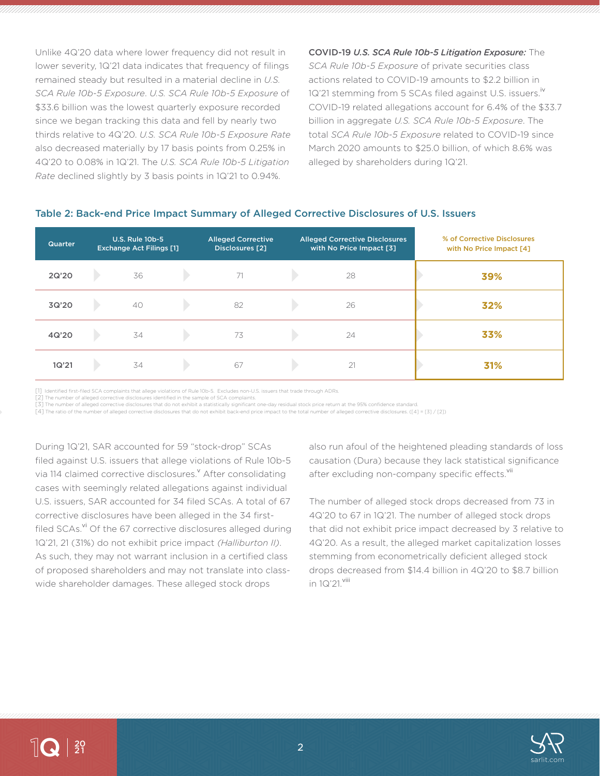Unlike 4Q'20 data where lower frequency did not result in lower severity, 1Q'21 data indicates that frequency of filings remained steady but resulted in a material decline in *U.S. SCA Rule 10b-5 Exposure*. *U.S. SCA Rule 10b-5 Exposure* of \$33.6 billion was the lowest quarterly exposure recorded since we began tracking this data and fell by nearly two thirds relative to 4Q'20. *U.S. SCA Rule 10b-5 Exposure Rate* also decreased materially by 17 basis points from 0.25% in 4Q'20 to 0.08% in 1Q'21. The *U.S. SCA Rule 10b-5 Litigation Rate* declined slightly by 3 basis points in 1Q'21 to 0.94%.

COVID-19 *U.S. SCA Rule 10b-5 Litigation Exposure:* The *SCA Rule 10b-5 Exposure* of private securities class actions related to COVID-19 amounts to \$2.2 billion in 1Q'21 stemming from 5 SCAs filed against U.S. issuers.<sup>iv</sup> COVID-19 related allegations account for 6.4% of the \$33.7 billion in aggregate *U.S. SCA Rule 10b-5 Exposure*. The total *SCA Rule 10b-5 Exposure* related to COVID-19 since March 2020 amounts to \$25.0 billion, of which 8.6% was alleged by shareholders during 1Q'21.

### Table 2: Back-end Price Impact Summary of Alleged Corrective Disclosures of U.S. Issuers

| <b>Quarter</b> | <b>U.S. Rule 10b-5</b><br><b>Exchange Act Filings [1]</b> | <b>Alleged Corrective</b><br>Disclosures [2] | <b>Alleged Corrective Disclosures</b><br>with No Price Impact [3] | % of Corrective Disclosures<br>with No Price Impact [4] |
|----------------|-----------------------------------------------------------|----------------------------------------------|-------------------------------------------------------------------|---------------------------------------------------------|
| 2Q'20          | 36                                                        | 71                                           | 28                                                                | 39%                                                     |
| 3Q'20          | 40                                                        | 82                                           | 26                                                                | 32%                                                     |
| 4Q'20          | 34                                                        | 73                                           | 24                                                                | 33%                                                     |
| 1Q'21          | 34                                                        | 67                                           | 21                                                                | 31%                                                     |

[1] Identified first-filed SCA complaints that allege violations of Rule 10b-5. Excludes non-U.S. issuers that trade through ADRs.

[2] The number of alleged corrective disclosures identified in the sample of SCA complaints.

[3] The number of alleged corrective disclosures that do not exhibit a statistically significant one-day residual stock price return at the 95% confidence standard.

[4] The ratio of the number of alleged corrective disclosures that do not exhibit back-end price impact to the total number of alleged corrective disclosures. ([4] = [3] / [2])

During 1Q'21, SAR accounted for 59 "stock-drop" SCAs filed against U.S. issuers that allege violations of Rule 10b-5 via 114 claimed corrective disclosures.<sup>v</sup> After consolidating cases with seemingly related allegations against individual U.S. issuers, SAR accounted for 34 filed SCAs. A total of 67 corrective disclosures have been alleged in the 34 firstfiled SCAs.<sup>vi</sup> Of the 67 corrective disclosures alleged during 1Q'21, 21 (31%) do not exhibit price impact *(Halliburton II)*. As such, they may not warrant inclusion in a certified class of proposed shareholders and may not translate into classwide shareholder damages. These alleged stock drops

also run afoul of the heightened pleading standards of loss causation (Dura) because they lack statistical significance after excluding non-company specific effects. Vii

The number of alleged stock drops decreased from 73 in 4Q'20 to 67 in 1Q'21. The number of alleged stock drops that did not exhibit price impact decreased by 3 relative to 4Q'20. As a result, the alleged market capitalization losses stemming from econometrically deficient alleged stock drops decreased from \$14.4 billion in 4Q'20 to \$8.7 billion in 1Q'21. Viii

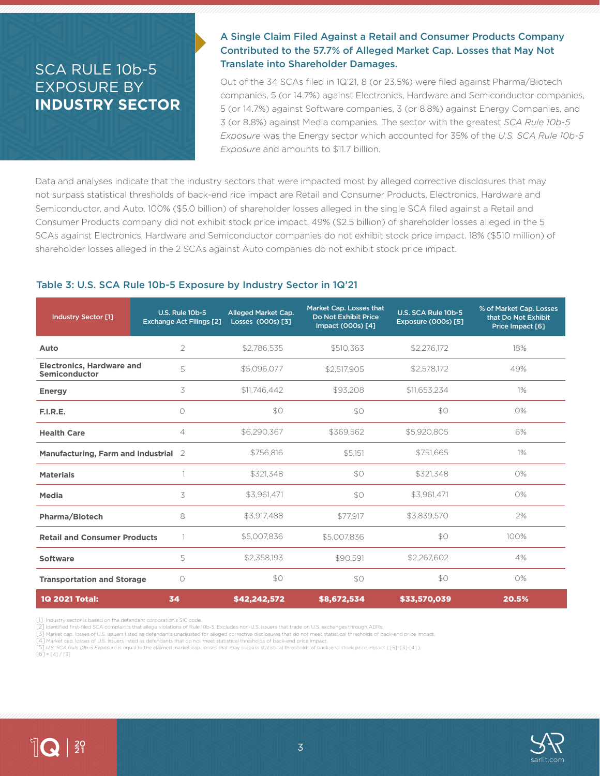## SCA RULE 10b-5 EXPOSURE BY **INDUSTRY SECTOR**

### A Single Claim Filed Against a Retail and Consumer Products Company Contributed to the 57.7% of Alleged Market Cap. Losses that May Not Translate into Shareholder Damages.

Out of the 34 SCAs filed in 1Q'21, 8 (or 23.5%) were filed against Pharma/Biotech companies, 5 (or 14.7%) against Electronics, Hardware and Semiconductor companies, 5 (or 14.7%) against Software companies, 3 (or 8.8%) against Energy Companies, and 3 (or 8.8%) against Media companies. The sector with the greatest *SCA Rule 10b-5 Exposure* was the Energy sector which accounted for 35% of the *U.S. SCA Rule 10b-5 Exposure* and amounts to \$11.7 billion.

Data and analyses indicate that the industry sectors that were impacted most by alleged corrective disclosures that may not surpass statistical thresholds of back-end rice impact are Retail and Consumer Products, Electronics, Hardware and Semiconductor, and Auto. 100% (\$5.0 billion) of shareholder losses alleged in the single SCA filed against a Retail and Consumer Products company did not exhibit stock price impact. 49% (\$2.5 billion) of shareholder losses alleged in the 5 SCAs against Electronics, Hardware and Semiconductor companies do not exhibit stock price impact. 18% (\$510 million) of shareholder losses alleged in the 2 SCAs against Auto companies do not exhibit stock price impact.

### Table 3: U.S. SCA Rule 10b-5 Exposure by Industry Sector in 1Q'21

| <b>Industry Sector [1]</b>                        | <b>U.S. Rule 10b-5</b><br><b>Exchange Act Filings [2]</b> | <b>Alleged Market Cap.</b><br>Losses (000s) [3] | Market Cap. Losses that<br>Do Not Exhibit Price<br>Impact (000s) [4] | U.S. SCA Rule 10b-5<br><b>Exposure (000s) [5]</b> | % of Market Cap. Losses<br>that Do Not Exhibit<br>Price Impact [6] |
|---------------------------------------------------|-----------------------------------------------------------|-------------------------------------------------|----------------------------------------------------------------------|---------------------------------------------------|--------------------------------------------------------------------|
| Auto                                              | 2                                                         | \$2,786,535                                     | \$510,363                                                            | \$2,276,172                                       | 18%                                                                |
| <b>Electronics, Hardware and</b><br>Semiconductor | 5                                                         | \$5,096,077                                     | \$2,517,905                                                          | \$2,578,172                                       | 49%                                                                |
| <b>Energy</b>                                     | 3                                                         | \$11,746,442                                    | \$93,208                                                             | \$11,653,234                                      | $1\%$                                                              |
| F.I.R.E.                                          | $\circ$                                                   | \$0                                             | SO                                                                   | \$0                                               | 0%                                                                 |
| <b>Health Care</b>                                | $\overline{4}$                                            | \$6,290,367                                     | \$369,562                                                            | \$5,920,805                                       | 6%                                                                 |
| Manufacturing, Farm and Industrial 2              |                                                           | \$756,816                                       | \$5,151                                                              | \$751,665                                         | $1\%$                                                              |
| <b>Materials</b>                                  |                                                           | \$321.348                                       | \$0                                                                  | \$321.348                                         | 0%                                                                 |
| Media                                             | 3                                                         | \$3,961,471                                     | \$O                                                                  | \$3,961,471                                       | 0%                                                                 |
| Pharma/Biotech                                    | 8                                                         | \$3,917,488                                     | \$77,917                                                             | \$3,839,570                                       | 2%                                                                 |
| <b>Retail and Consumer Products</b>               |                                                           | \$5,007,836                                     | \$5,007,836                                                          | \$0                                               | 100%                                                               |
| <b>Software</b>                                   | 5                                                         | \$2,358,193                                     | \$90,591                                                             | \$2,267,602                                       | 4%                                                                 |
| <b>Transportation and Storage</b>                 | $\circ$                                                   | \$0                                             | \$O                                                                  | \$0                                               | 0%                                                                 |
| 1Q 2021 Total:                                    | 34                                                        | \$42,242,572                                    | \$8,672,534                                                          | \$33,570,039                                      | 20.5%                                                              |

[1] Industry sector is based on the defendant corporation's SIC code

[3] Market cap. losses of U.S. issuers listed as defendants unadjusted for alleged corrective disclosures that do not meet statistical thresholds of back-end price impact.

[5] *U.S. SCA Rule 10b-5 Exposure* is equal to the claimed market cap. losses that may surpass statistical thresholds of back-end stock price impact ( [5]=[3]-[4] ).

 $[6] = [4]/[3]$ 





<sup>[2]</sup> Identified first-filed SCA complaints that allege violations of Rule 10b-5. Excludes non-U.S. issuers that trade on U.S. exchanges through ADRs.

<sup>[4]</sup> Market cap. losses of U.S. issuers listed as defendants that do not meet statistical thresholds of back-end price impact.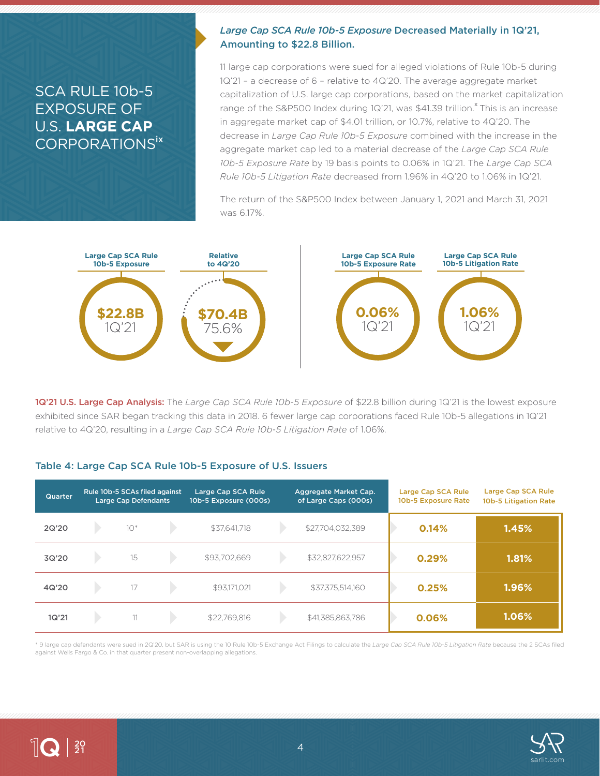### SCA RULE 10b-5 EXPOSURE OF U.S. **LARGE CAP** CORPORATIONSix

### *Large Cap SCA Rule 10b-5 Exposure* Decreased Materially in 1Q'21, Amounting to \$22.8 Billion.

11 large cap corporations were sued for alleged violations of Rule 10b-5 during 1Q'21 – a decrease of 6 – relative to 4Q'20. The average aggregate market capitalization of U.S. large cap corporations, based on the market capitalization range of the S&P500 Index during 1Q'21, was \$41.39 trillion.<sup>x</sup> This is an increase in aggregate market cap of \$4.01 trillion, or 10.7%, relative to 4Q'20. The decrease in *Large Cap Rule 10b-5 Exposure* combined with the increase in the aggregate market cap led to a material decrease of the *Large Cap SCA Rule 10b-5 Exposure Rate* by 19 basis points to 0.06% in 1Q'21. The *Large Cap SCA Rule 10b-5 Litigation Rate* decreased from 1.96% in 4Q'20 to 1.06% in 1Q'21.

The return of the S&P500 Index between January 1, 2021 and March 31, 2021 was 6.17%.



1Q'21 U.S. Large Cap Analysis: The *Large Cap SCA Rule 10b-5 Exposure* of \$22.8 billion during 1Q'21 is the lowest exposure exhibited since SAR began tracking this data in 2018. 6 fewer large cap corporations faced Rule 10b-5 allegations in 1Q'21 relative to 4Q'20, resulting in a *Large Cap SCA Rule 10b-5 Litigation Rate* of 1.06%.

### Table 4: Large Cap SCA Rule 10b-5 Exposure of U.S. Issuers

| Quarter | Rule 10b-5 SCAs filed against<br><b>Large Cap Defendants</b> |       | Large Cap SCA Rule<br>10b-5 Exposure (000s) |              | Aggregate Market Cap.<br>of Large Caps (000s) | Large Cap SCA Rule<br>10b-5 Exposure Rate | Large Cap SCA Rule<br>10b-5 Litigation Rate |       |
|---------|--------------------------------------------------------------|-------|---------------------------------------------|--------------|-----------------------------------------------|-------------------------------------------|---------------------------------------------|-------|
| 2Q'20   |                                                              | $10*$ |                                             | \$37,641,718 |                                               | \$27,704,032,389                          | 0.14%                                       | 1.45% |
| 3Q'20   |                                                              | 15    |                                             | \$93,702,669 |                                               | \$32,827,622,957                          | 0.29%                                       | 1.81% |
| 4Q'20   |                                                              | 17    |                                             | \$93,171,021 |                                               | \$37,375,514,160                          | 0.25%                                       | 1.96% |
| 1Q'21   |                                                              | 11    |                                             | \$22,769,816 |                                               | \$41,385,863,786                          | 0.06%                                       | 1.06% |

\* 9 large cap defendants were sued in 2Q'20, but SAR is using the 10 Rule 10b-5 Exchange Act Filings to calculate the *Large Cap SCA Rule 10b-5 Litigation Rate* because the 2 SCAs filed against Wells Fargo & Co. in that quarter present non-overlapping allegations.



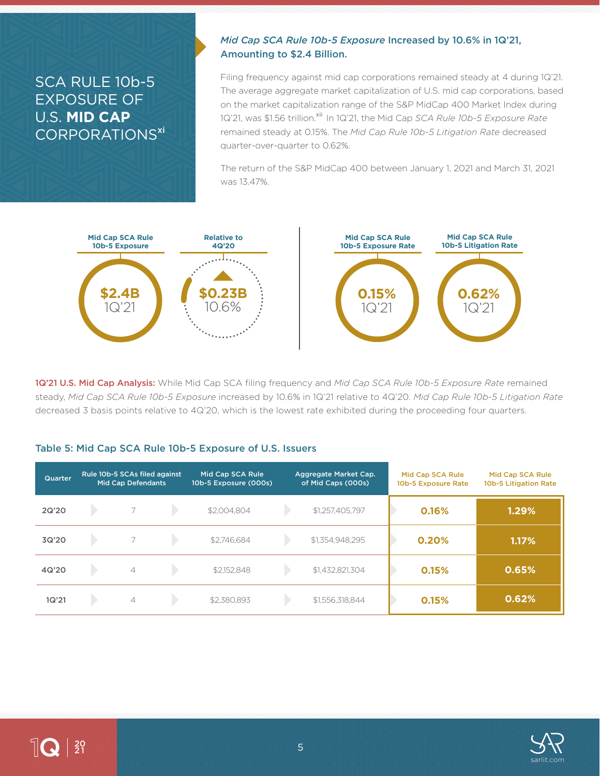## SCA RULE 10b-5 EXPOSURE OF U.S. **MID CAP** CORPORATIONS<sup>xi</sup>

### *Mid Cap SCA Rule 10b-5 Exposure* Increased by 10.6% in 1Q'21, Amounting to \$2.4 Billion.

Filing frequency against mid cap corporations remained steady at 4 during 1Q'21. The average aggregate market capitalization of U.S. mid cap corporations, based on the market capitalization range of the S&P MidCap 400 Market Index during 1Q'21, was \$1.56 trillion.<sup>xii</sup> In 1Q'21, the Mid Cap *SCA Rule 10b-5 Exposure Rate* remained steady at 0.15%. The *Mid Cap Rule 10b-5 Litigation Rate* decreased quarter-over-quarter to 0.62%.

The return of the S&P MidCap 400 between January 1, 2021 and March 31, 2021 was 13.47%.



1Q'21 U.S. Mid Cap Analysis: While Mid Cap SCA filing frequency and *Mid Cap SCA Rule 10b-5 Exposure Rate* remained steady, *Mid Cap SCA Rule 10b-5 Exposure* increased by 10.6% in 1Q'21 relative to 4Q'20. *Mid Cap Rule 10b-5 Litigation Rate*  decreased 3 basis points relative to 4Q'20, which is the lowest rate exhibited during the proceeding four quarters.

### Table 5: Mid Cap SCA Rule 10b-5 Exposure of U.S. Issuers

| Quarter | Rule 10b-5 SCAs filed against<br><b>Mid Cap Defendants</b> |                | Mid Cap SCA Rule<br>10b-5 Exposure (000s) |             | Aggregate Market Cap.<br>of Mid Caps (000s) | Mid Cap SCA Rule<br>10b-5 Exposure Rate | Mid Cap SCA Rule<br>10b-5 Litigation Rate |       |
|---------|------------------------------------------------------------|----------------|-------------------------------------------|-------------|---------------------------------------------|-----------------------------------------|-------------------------------------------|-------|
| 2Q'20   |                                                            |                |                                           | \$2,004,804 |                                             | \$1,257,405,797                         | 0.16%                                     | 1.29% |
| 3Q'20   |                                                            |                |                                           | \$2,746,684 |                                             | \$1,354,948,295                         | 0.20%                                     | 1.17% |
| 4Q'20   |                                                            | $\overline{4}$ |                                           | \$2,152,848 |                                             | \$1,432,821,304                         | 0.15%                                     | 0.65% |
| 1Q'21   |                                                            | $\overline{4}$ |                                           | \$2,380,893 |                                             | \$1,556,318,844                         | 0.15%                                     | 0.62% |

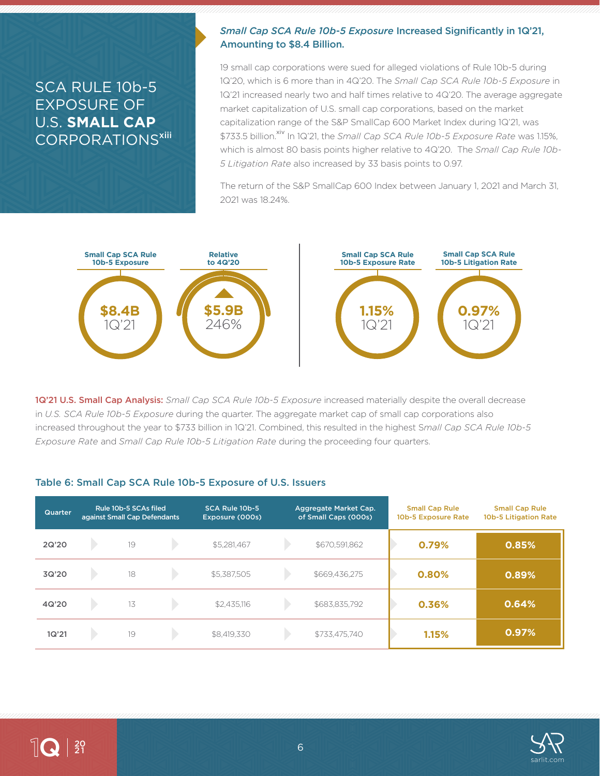## SCA RULE 10b-5 EXPOSURE OF U.S. **SMALL CAP** CORPORATIONS<sup>xiii</sup>

### *Small Cap SCA Rule 10b-5 Exposure* Increased Significantly in 1Q'21, Amounting to \$8.4 Billion.

19 small cap corporations were sued for alleged violations of Rule 10b-5 during 1Q'20, which is 6 more than in 4Q'20. The *Small Cap SCA Rule 10b-5 Exposure* in 1Q'21 increased nearly two and half times relative to 4Q'20. The average aggregate market capitalization of U.S. small cap corporations, based on the market capitalization range of the S&P SmallCap 600 Market Index during 1Q'21, was \$733.5 billion.<sup>xiv</sup> In 1Q'21, the *Small Cap SCA Rule 10b-5 Exposure Rate* was 1.15%, which is almost 80 basis points higher relative to 4Q'20. The *Small Cap Rule 10b-5 Litigation Rate* also increased by 33 basis points to 0.97.

The return of the S&P SmallCap 600 Index between January 1, 2021 and March 31, 2021 was 18.24%.



1Q'21 U.S. Small Cap Analysis: *Small Cap SCA Rule 10b-5 Exposure* increased materially despite the overall decrease in *U.S. SCA Rule 10b-5 Exposure* during the quarter. The aggregate market cap of small cap corporations also increased throughout the year to \$733 billion in 1Q'21. Combined, this resulted in the highest S*mall Cap SCA Rule 10b-5 Exposure Rate* and *Small Cap Rule 10b-5 Litigation Rate* during the proceeding four quarters.

### Table 6: Small Cap SCA Rule 10b-5 Exposure of U.S. Issuers

| <b>Quarter</b> | Rule 10b-5 SCAs filed<br>against Small Cap Defendants |    | SCA Rule 10b-5<br>Exposure (000s) | Aggregate Market Cap.<br>of Small Caps (000s) |  | <b>Small Cap Rule</b><br>10b-5 Exposure Rate | <b>Small Cap Rule</b><br>10b-5 Litigation Rate |       |
|----------------|-------------------------------------------------------|----|-----------------------------------|-----------------------------------------------|--|----------------------------------------------|------------------------------------------------|-------|
| 2Q'20          |                                                       | 19 |                                   | \$5,281,467                                   |  | \$670,591,862                                | 0.79%                                          | 0.85% |
| 3Q'20          |                                                       | 18 |                                   | \$5,387,505                                   |  | \$669,436,275                                | 0.80%                                          | 0.89% |
| 4Q'20          |                                                       | 13 |                                   | \$2,435,116                                   |  | \$683,835,792                                | 0.36%                                          | 0.64% |
| 1Q'21          |                                                       | 19 |                                   | \$8,419,330                                   |  | \$733,475,740                                | 1.15%                                          | 0.97% |

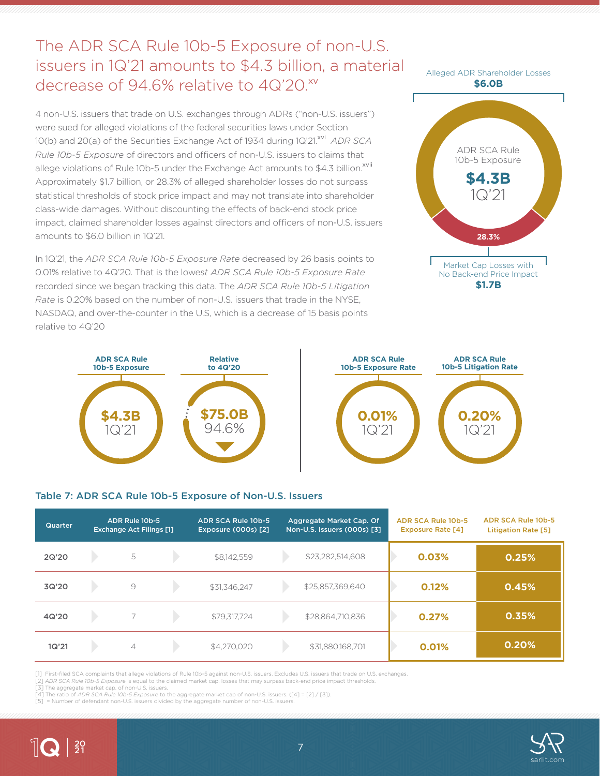# The ADR SCA Rule 10b-5 Exposure of non-U.S. issuers in 1Q'21 amounts to \$4.3 billion, a material decrease of 94.6% relative to 4Q'20.xv

4 non-U.S. issuers that trade on U.S. exchanges through ADRs ("non-U.S. issuers") were sued for alleged violations of the federal securities laws under Section 10(b) and 20(a) of the Securities Exchange Act of 1934 during 1Q'21.<sup>xvi</sup> *ADR SCA Rule 10b-5 Exposure* of directors and officers of non-U.S. issuers to claims that allege violations of Rule 10b-5 under the Exchange Act amounts to \$4.3 billion.<sup>xvii</sup> Approximately \$1.7 billion, or 28.3% of alleged shareholder losses do not surpass statistical thresholds of stock price impact and may not translate into shareholder class-wide damages. Without discounting the effects of back-end stock price impact, claimed shareholder losses against directors and officers of non-U.S. issuers amounts to \$6.0 billion in 1Q'21.

In 1Q'21, the *ADR SCA Rule 10b-5 Exposure Rate* decreased by 26 basis points to 0.01% relative to 4Q'20. That is the lowes*t ADR SCA Rule 10b-5 Exposure Rate* recorded since we began tracking this data. The *ADR SCA Rule 10b-5 Litigation Rate* is 0.20% based on the number of non-U.S. issuers that trade in the NYSE, NASDAQ, and over-the-counter in the U.S, which is a decrease of 15 basis points relative to 4Q'20







### Table 7: ADR SCA Rule 10b-5 Exposure of Non-U.S. Issuers

| Quarter | ADR Rule 10b-5<br><b>Exchange Act Filings [1]</b> |                | ADR SCA Rule 10b-5<br><b>Exposure (000s) [2]</b> | Aggregate Market Cap. Of<br>Non-U.S. Issuers (000s) [3] |  | ADR SCA Rule 10b-5<br><b>Exposure Rate [4]</b> | <b>ADR SCA Rule 10b-5</b><br><b>Litigation Rate [5]</b> |       |
|---------|---------------------------------------------------|----------------|--------------------------------------------------|---------------------------------------------------------|--|------------------------------------------------|---------------------------------------------------------|-------|
| 2Q'20   |                                                   | 5              |                                                  | \$8,142,559                                             |  | \$23,282,514,608                               | 0.03%                                                   | 0.25% |
| 3Q'20   |                                                   | $\circ$        |                                                  | \$31,346,247                                            |  | \$25,857,369,640                               | 0.12%                                                   | 0.45% |
| 4Q'20   |                                                   |                |                                                  | \$79,317,724                                            |  | \$28,864,710,836                               | 0.27%                                                   | 0.35% |
| 1Q'21   |                                                   | $\overline{4}$ |                                                  | \$4,270,020                                             |  | \$31,880,168,701                               | 0.01%                                                   | 0.20% |

[1] First-filed SCA complaints that allege violations of Rule 10b-5 against non-U.S. issuers. Excludes U.S. issuers that trade on U.S. exchanges.

[2] *ADR SCA Rule 10b-5 Exposure* is equal to the claimed market cap. losses that may surpass back-end price impact thresholds.

[3] The aggregate market cap. of non-U.S. issuers.

[4] The ratio of *ADR SCA Rule 10b-5 Exposure* to the aggregate market cap of non-U.S. issuers. ([4] = [2] / [3]).<br>[5] = Number of defendant non-U.S. issuers divided by the aggregate number of non-U.S. issuers.



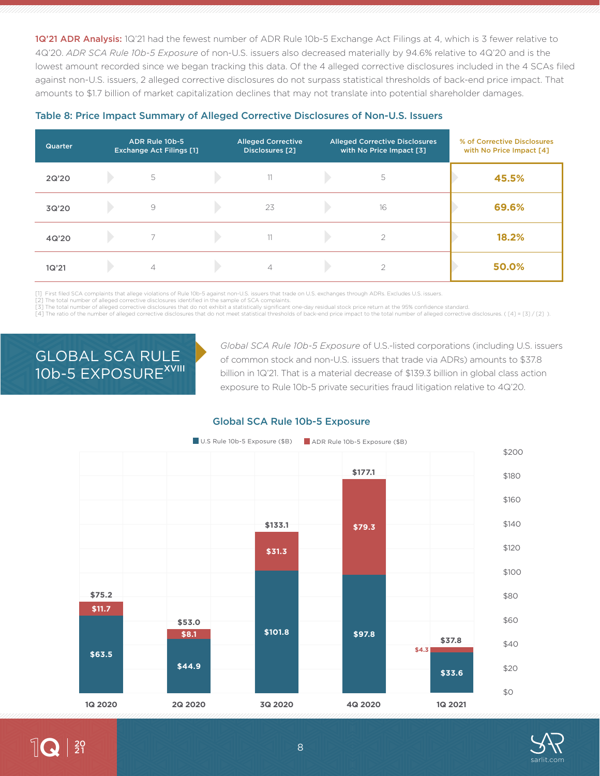1Q'21 ADR Analysis: 1Q'21 had the fewest number of ADR Rule 10b-5 Exchange Act Filings at 4, which is 3 fewer relative to 4Q'20. *ADR SCA Rule 10b-5 Exposure* of non-U.S. issuers also decreased materially by 94.6% relative to 4Q'20 and is the lowest amount recorded since we began tracking this data. Of the 4 alleged corrective disclosures included in the 4 SCAs filed against non-U.S. issuers, 2 alleged corrective disclosures do not surpass statistical thresholds of back-end price impact. That amounts to \$1.7 billion of market capitalization declines that may not translate into potential shareholder damages.

| <b>Quarter</b> | ADR Rule 10b-5<br><b>Exchange Act Filings [1]</b> | <b>Alleged Corrective</b><br><b>Disclosures</b> [2] | <b>Alleged Corrective Disclosures</b><br>with No Price Impact [3] | % of Corrective Disclosures<br>with No Price Impact [4] |
|----------------|---------------------------------------------------|-----------------------------------------------------|-------------------------------------------------------------------|---------------------------------------------------------|
| 2Q'20          | 5                                                 | 11                                                  | 5                                                                 | 45.5%                                                   |
| 3Q'20          | 9                                                 | 23                                                  | 16                                                                | 69.6%                                                   |
| 4Q'20          |                                                   | 11                                                  | $\overline{2}$                                                    | 18.2%                                                   |
| 1Q'21          | $\overline{4}$                                    | $\overline{\mathcal{A}}$                            | ⌒                                                                 | 50.0%                                                   |

### Table 8: Price Impact Summary of Alleged Corrective Disclosures of Non-U.S. Issuers

[1] First filed SCA complaints that allege violations of Rule 10b-5 against non-U.S. issuers that trade on U.S. exchanges through ADRs. Excludes U.S. issuers.

[2] The total number of alleged corrective disclosures identified in the sample of SCA complaints.

[3] The total number of alleged corrective disclosures that do not exhibit a statistically significant one-day residual stock price return at the 95% confidence standard.

[4] The ratio of the number of alleged corrective disclosures that do not meet statistical thresholds of back-end price impact to the total number of alleged corrective disclosures. ([4] = [3] / [2] ).

# GLOBAL SCA RULE 10b-5 EXPOSURE<sup>XVIII</sup>

*Global SCA Rule 10b-5 Exposure* of U.S.-listed corporations (including U.S. issuers of common stock and non-U.S. issuers that trade via ADRs) amounts to \$37.8 billion in 1Q'21. That is a material decrease of \$139.3 billion in global class action exposure to Rule 10b-5 private securities fraud litigation relative to 4Q'20.

### Global SCA Rule 10b-5 Exposure